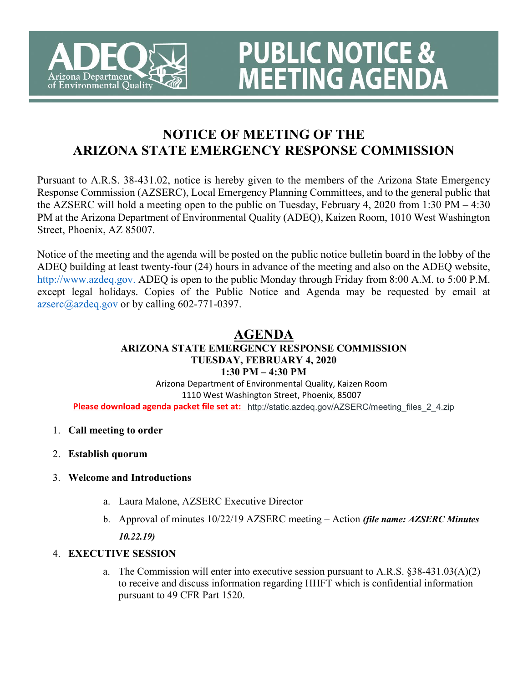

# **NOTICE OF MEETING OF THE ARIZONA STATE EMERGENCY RESPONSE COMMISSION**

**PUBLIC NOTICE &<br>MEETING AGENDA** 

Pursuant to A.R.S. 38-431.02, notice is hereby given to the members of the Arizona State Emergency Response Commission (AZSERC), Local Emergency Planning Committees, and to the general public that the AZSERC will hold a meeting open to the public on Tuesday, February 4, 2020 from 1:30 PM – 4:30 PM at the Arizona Department of Environmental Quality (ADEQ), Kaizen Room, 1010 West Washington Street, Phoenix, AZ 85007.

Notice of the meeting and the agenda will be posted on the public notice bulletin board in the lobby of the ADEQ building at least twenty-four (24) hours in advance of the meeting and also on the ADEQ website, http://www.azdeq.gov. ADEQ is open to the public Monday through Friday from 8:00 A.M. to 5:00 P.M. except legal holidays. Copies of the Public Notice and Agenda may be requested by email at  $azsec@azdeq.gov$  or by calling 602-771-0397.

#### **AGENDA ARIZONA STATE EMERGENCY RESPONSE COMMISSION TUESDAY, FEBRUARY 4, 2020 1:30 PM – 4:30 PM**

Arizona Department of Environmental Quality, Kaizen Room 1110 West Washington Street, Phoenix, 85007 **Please download agenda packet file set at:** [http://static.azdeq.gov/AZSERC/meeting\\_files\\_2\\_4.zip](https://www.google.com/url?q=http://static.azdeq.gov/AZSERC/meeting_files_2_4.zip&sa=D&source=hangouts&ust=1579216724916000&usg=AFQjCNH5sL9L_wolqRnwkP7M8jSzavgVlA)

- 1. **Call meeting to order**
- 2. **Establish quorum**

# 3. **Welcome and Introductions**

- a. Laura Malone, AZSERC Executive Director
- b. Approval of minutes 10/22/19 AZSERC meeting Action *(file name: AZSERC Minutes 10.22.19)*
- 4. **EXECUTIVE SESSION**
	- a. The Commission will enter into executive session pursuant to A.R.S. §38-431.03(A)(2) to receive and discuss information regarding HHFT which is confidential information pursuant to 49 CFR Part 1520.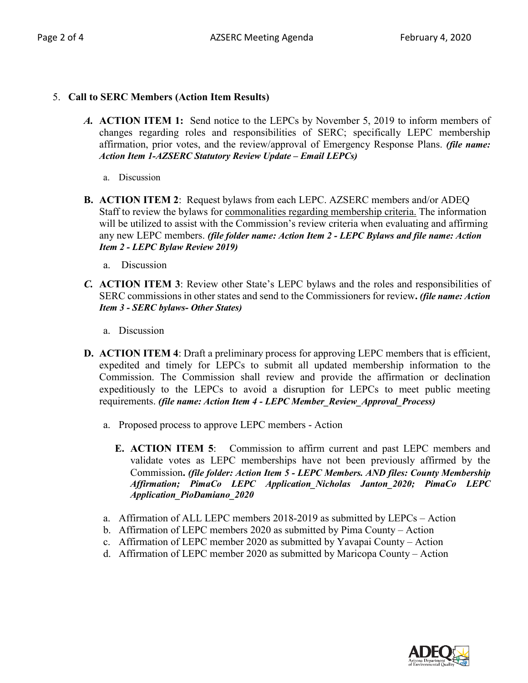#### 5. **Call to SERC Members (Action Item Results)**

- *A.* **ACTION ITEM 1:** Send notice to the LEPCs by November 5, 2019 to inform members of changes regarding roles and responsibilities of SERC; specifically LEPC membership affirmation, prior votes, and the review/approval of Emergency Response Plans. *(file name: Action Item 1-AZSERC Statutory Review Update – Email LEPCs)*
	- a. Discussion
- **B. ACTION ITEM 2**: Request bylaws from each LEPC. AZSERC members and/or ADEQ Staff to review the bylaws for commonalities regarding membership criteria. The information will be utilized to assist with the Commission's review criteria when evaluating and affirming any new LEPC members. *(file folder name: Action Item 2 - LEPC Bylaws and file name: Action Item 2 - LEPC Bylaw Review 2019)*
	- a. Discussion
- *C.* **ACTION ITEM 3**: Review other State's LEPC bylaws and the roles and responsibilities of SERC commissions in other states and send to the Commissioners for review**.** *(file name: Action Item 3 - SERC bylaws- Other States)*
	- a. Discussion
- **D. ACTION ITEM 4**: Draft a preliminary process for approving LEPC members that is efficient, expedited and timely for LEPCs to submit all updated membership information to the Commission. The Commission shall review and provide the affirmation or declination expeditiously to the LEPCs to avoid a disruption for LEPCs to meet public meeting requirements. *(file name: Action Item 4 - LEPC Member\_Review\_Approval\_Process)*
	- a. Proposed process to approve LEPC members Action
		- **E. ACTION ITEM 5**: Commission to affirm current and past LEPC members and validate votes as LEPC memberships have not been previously affirmed by the Commission**.** *(file folder: Action Item 5 - LEPC Members. AND files: County Membership Affirmation; PimaCo LEPC Application\_Nicholas Janton\_2020; PimaCo LEPC Application\_PioDamiano\_2020*
	- a. Affirmation of ALL LEPC members 2018-2019 as submitted by LEPCs Action
	- b. Affirmation of LEPC members 2020 as submitted by Pima County Action
	- c. Affirmation of LEPC member 2020 as submitted by Yavapai County Action
	- d. Affirmation of LEPC member 2020 as submitted by Maricopa County Action

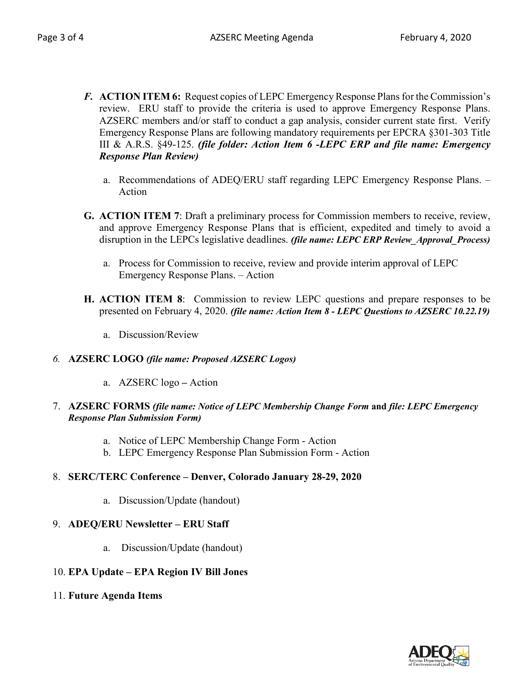- *F.* **ACTION ITEM 6:** Request copies of LEPC Emergency Response Plans for the Commission's review. ERU staff to provide the criteria is used to approve Emergency Response Plans. AZSERC members and/or staff to conduct a gap analysis, consider current state first. Verify Emergency Response Plans are following mandatory requirements per EPCRA §301-303 Title III & A.R.S. §49-125. *(file folder: Action Item 6 -LEPC ERP and file name: Emergency Response Plan Review)*
	- a. Recommendations of ADEQ/ERU staff regarding LEPC Emergency Response Plans. Action
- **G. ACTION ITEM 7**: Draft a preliminary process for Commission members to receive, review, and approve Emergency Response Plans that is efficient, expedited and timely to avoid a disruption in the LEPCs legislative deadlines. *(file name: LEPC ERP Review\_Approval\_Process)*
	- a. Process for Commission to receive, review and provide interim approval of LEPC Emergency Response Plans. – Action
- **H. ACTION ITEM 8**: Commission to review LEPC questions and prepare responses to be presented on February 4, 2020. *(file name: Action Item 8 - LEPC Questions to AZSERC 10.22.19)*
	- a. Discussion/Review

#### *6.* **AZSERC LOGO** *(file name: Proposed AZSERC Logos)*

a. AZSERC logo **–** Action

#### 7. **AZSERC FORMS** *(file name: Notice of LEPC Membership Change Form* **and** *file: LEPC Emergency Response Plan Submission Form)*

- a. Notice of LEPC Membership Change Form Action
- b. LEPC Emergency Response Plan Submission Form Action

#### 8. **SERC/TERC Conference – Denver, Colorado January 28-29, 2020**

a. Discussion/Update (handout)

#### 9. **ADEQ/ERU Newsletter – ERU Staff**

a. Discussion/Update (handout)

#### 10. **EPA Update – EPA Region IV Bill Jones**

11. **Future Agenda Items**